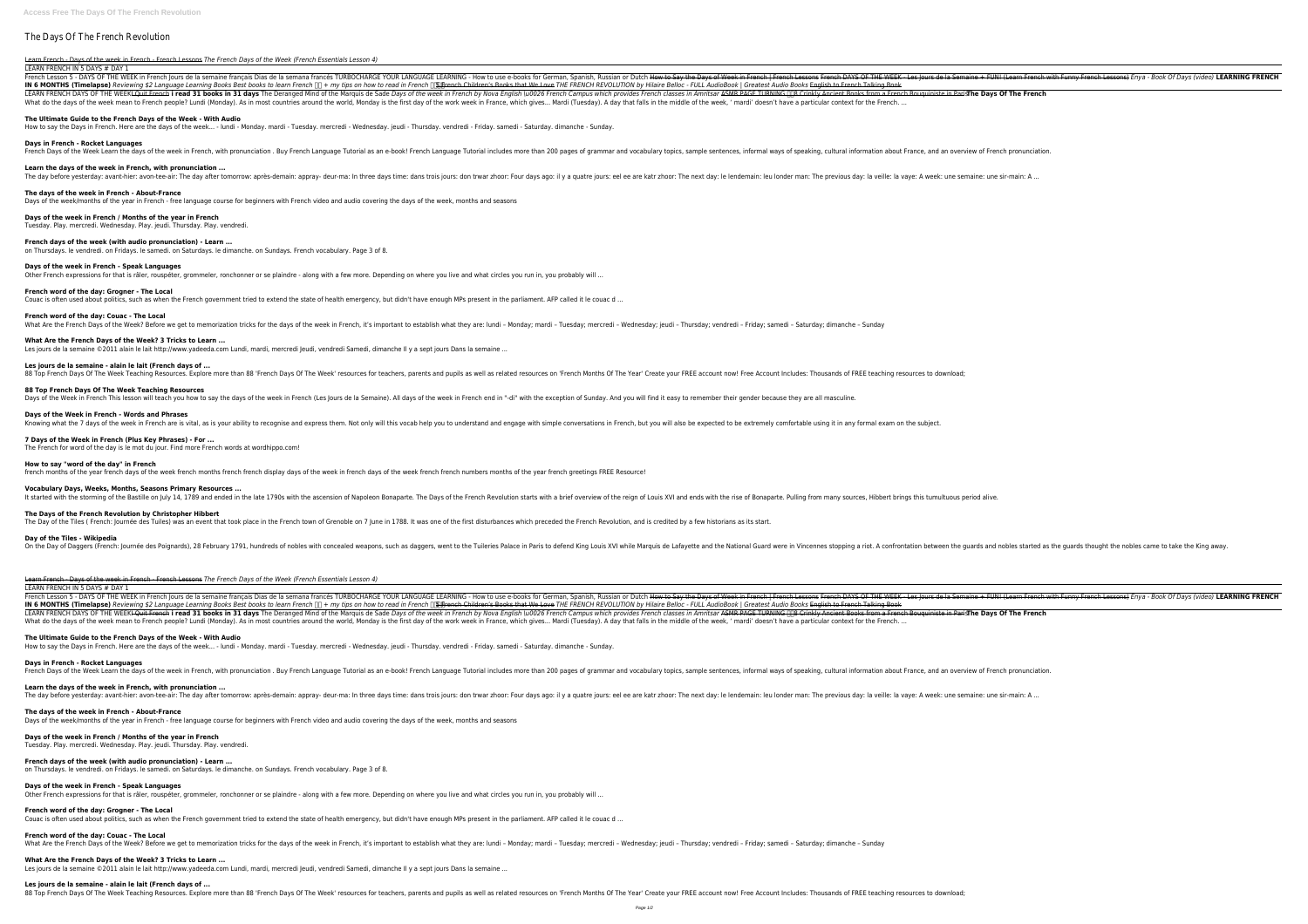# The Days Of The French Revolution

Learn French - Days of the week in French - French Lessons *The French Days of the Week (French Essentials Lesson 4)*

#### LEARN FRENCH IN 5 DAYS # DAY 1

Trench Lesson 5 - DAYS OF THE WEEK in French Jours de la semaine francais Dias de la semana francés TURBOCHARGE YOUR LANGUAGE LEARNING - How to use e-books for German, Spanish, Russian or Dutch How to say the Days of Week IN 6 MONTHS (Timelapse) Reviewing \$2 Language Learning Books Best books to learn French □ + my tips on how to read in French □ + my tips on how to read in French □ + French □ + French Books that We Love THE FRENCH REVOLUT LEARN FRENCH DAYS OF THE WEEK<del>I Quit French</del> i read 31 books in 31 days The Deranged Mind of the Marquis de Sade Days of the week in French by Nova English \u0026 French Campus which provides French classes in Amritsar ASM What do the days of the week mean to French people? Lundi (Monday). As in most countries around the world, Monday is the first day of the work week in France, which gives... Mardi (Tuesday). A day that falls in the middle

**Days in French - Rocket Languages** French Days of the Week Learn the days of the week in French, with pronunciation . Buy French Language Tutorial as an e-book! French Language Tutorial includes more than 200 pages of grammar and vocabulary topics, sample s

### **The Ultimate Guide to the French Days of the Week - With Audio**

How to say the Days in French. Here are the days of the week... - lundi - Monday. mardi - Tuesday. mercredi - Wednesday. jeudi - Thursday. vendredi - Friday. samedi - Saturday. dimanche - Sunday.

#### **Learn the days of the week in French, with pronunciation ...**

The day before yesterday: avant-hier: avon-tee-air: The day after tomorrow: après-demain: appray- deur-ma: In three days time: dans trois jours: don trwar zhoor: The next day: le lendemain: leu londer man: The previous day

**88 Top French Days Of The Week Teaching Resources** Days of the Week in French This lesson will teach you how to say the days of the week in French (Les Jours de la Semaine). All days of the week in French end in "-di" with the exception of Sunday. And you will find it easy

**The days of the week in French - About-France**

Days of the week/months of the year in French - free language course for beginners with French video and audio covering the days of the week, months and seasons

## **Days of the week in French / Months of the year in French**

Tuesday. Play. mercredi. Wednesday. Play. jeudi. Thursday. Play. vendredi.

## **French days of the week (with audio pronunciation) - Learn ...**

on Thursdays. le vendredi. on Fridays. le samedi. on Saturdays. le dimanche. on Sundays. French vocabulary. Page 3 of 8.

### **Days of the week in French - Speak Languages**

# **French word of the day: Grogner - The Local**

Couac is often used about politics, such as when the French government tried to extend the state of health emergency, but didn't have enough MPs present in the parliament. AFP called it le couac d ...

What Are the French Days of the Week? Before we get to memorization tricks for the days of the week in French, it's important to establish what they are: lundi - Monday; mardi - Tuesday; mercredi - Wednesday; jeudi - Thurs

**French word of the day: Couac - The Local**

Other French expressions for that is râler, rouspéter, grommeler, ronchonner or se plaindre - along with a few more. Depending on where you live and what circles you run in, you probably will ...

#### **What Are the French Days of the Week? 3 Tricks to Learn ...**

Les jours de la semaine ©2011 alain le lait http://www.yadeeda.com Lundi, mardi, mercredi Jeudi, vendredi Samedi, dimanche Il y a sept jours Dans la semaine ...

#### **Les jours de la semaine - alain le lait (French days of ...**

88 Top French Days Of The Week Teaching Resources. Explore more than 88 'French Days Of The Week' resources for teachers, parents and pupils as well as related resources on 'French Months Of The Year' Create your FREE acco

### **Days of the Week in French - Words and Phrases**

Knowing what the 7 days of the week in French are is vital, as is your ability to recognise and express them. Not only will this vocab help you to understand and engage with simple conversations in French, but you will als

## **7 Days of the Week in French (Plus Key Phrases) - For ...**

The French for word of the day is le mot du jour. Find more French words at wordhippo.com!

## **How to say "word of the day" in French**

french months of the year french days of the week french months french french display days of the week in french days of the week french french numbers months of the year french greetings FREE Resource!

### **Vocabulary Days, Weeks, Months, Seasons Primary Resources ...**

It started with the storming of the Bastille on July 14, 1789 and ended in the late 1790s with the ascension of Napoleon Bonaparte. The Days of the French Revolution starts with a brief overview of the reign of Louis XVI a

#### **The Days of the French Revolution by Christopher Hibbert**

The Day of the Tiles (French: Journée des Tuiles) was an event that took place in the French town of Grenoble on 7 June in 1788. It was one of the first disturbances which preceded the French Revolution, and is credited by

#### **Day of the Tiles - Wikipedia**

On the Day of Daggers (French: Journée des Poignards), 28 February 1791, hundreds of nobles with concealed weapons, such as daggers, went to the Tuileries Palace in Vincennes stopping a riot. A confrontation between the gu

### Learn French - Days of the week in French - French Lessons *The French Days of the Week (French Essentials Lesson 4)*

LEARN FRENCH IN 5 DAYS # DAY 1

Erench Lesson 5 - DAYS OF THE WEEK in French Jours de la semaine français Dias de la semana francés TURBOCHARGE YOUR LANGUAGE LEARNING - How to use e-books for German, Spanish, Russian or Dutch How to see-books for German, IN 6 MONTHS (Timelapse) Reviewing \$2 Language Learning Books Best books to learn French □ + my tips on how to read in French □ DHE FRENCH REVOLUTION by Hilaire Belloc - FULL AudioBook | Greatest Audio Books English to Fre LEARN FRENCH DAYS OF THE WEEK<del>I Quit French</del> i read 31 books in 31 days The Deranged Mind of the Marquis de Sade Days of the week in French by Nova English \u0026 French Campus which provides French classes in Amritsar ASM What do the days of the week mean to French people? Lundi (Monday). As in most countries around the world, Monday is the first day of the work week in France, which gives... Mardi (Tuesday). A day that falls in the middle

## **The Ultimate Guide to the French Days of the Week - With Audio**

How to say the Days in French. Here are the days of the week... - lundi - Monday. mardi - Tuesday. mercredi - Wednesday. jeudi - Thursday. vendredi - Friday. samedi - Saturday. dimanche - Sunday.

## **Days in French - Rocket Languages**

Erench Days of the Week Learn the days of the week in French, with pronunciation . Buy French Language Tutorial as an e-book! French Language Tutorial includes more than 200 pages of grammar and vocabulary topics, sample s

## **Learn the days of the week in French, with pronunciation ...**

The day before yesterday: avant-hier: avon-tee-air: The day after tomorrow: après-demain: appray- deur-ma: In three days time: dans trois jours: don trwar zhoor: The next day: le lendemain: leu londer man: The previous day

## **The days of the week in French - About-France**

Days of the week/months of the year in French - free language course for beginners with French video and audio covering the days of the week, months and seasons

#### **Days of the week in French / Months of the year in French** Tuesday. Play. mercredi. Wednesday. Play. jeudi. Thursday. Play. vendredi.

## **French days of the week (with audio pronunciation) - Learn ...**

on Thursdays. le vendredi. on Fridays. le samedi. on Saturdays. le dimanche. on Sundays. French vocabulary. Page 3 of 8.

## **Days of the week in French - Speak Languages**

Other French expressions for that is râler, rouspéter, grommeler, ronchonner or se plaindre - along with a few more. Depending on where you live and what circles you run in, you probably will ...

## **French word of the day: Grogner - The Local**

Couac is often used about politics, such as when the French government tried to extend the state of health emergency, but didn't have enough MPs present in the parliament. AFP called it le couac d ... **French word of the day: Couac - The Local**

**What Are the French Days of the Week? 3 Tricks to Learn ...** Les jours de la semaine ©2011 alain le lait http://www.yadeeda.com Lundi, mardi, mercredi Jeudi, vendredi Samedi, dimanche Il y a sept jours Dans la semaine ...

### **Les jours de la semaine - alain le lait (French days of ...**

88 Top French Days Of The Week Teaching Resources. Explore more than 88 'French Days Of The Week' resources for teachers, parents and pupils as well as related resources on 'French Months Of The Year' Create your FREE acco

What Are the French Days of the Week? Before we get to memorization tricks for the days of the week in French, it's important to establish what they are: lundi - Monday; mardi - Tuesday; mercredi - Wednesday; jeudi - Thurs